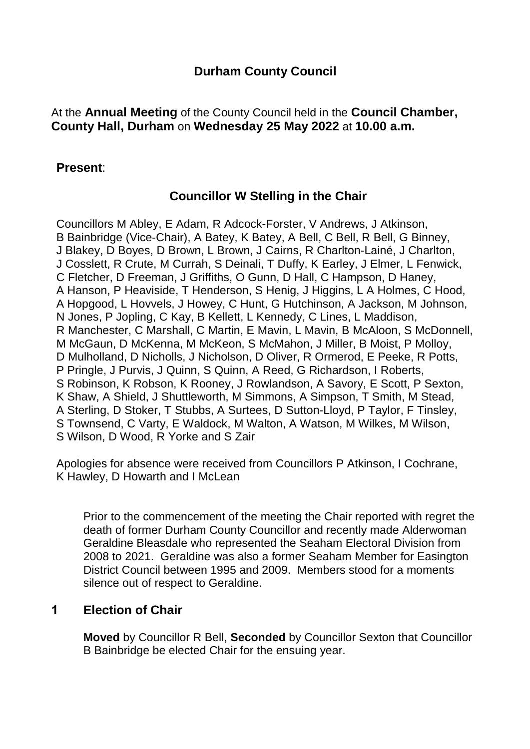# **Durham County Council**

At the **Annual Meeting** of the County Council held in the **Council Chamber, County Hall, Durham** on **Wednesday 25 May 2022** at **10.00 a.m.**

## **Present**:

# **Councillor W Stelling in the Chair**

Councillors M Abley, E Adam, R Adcock-Forster, V Andrews, J Atkinson, B Bainbridge (Vice-Chair), A Batey, K Batey, A Bell, C Bell, R Bell, G Binney, J Blakey, D Boyes, D Brown, L Brown, J Cairns, R Charlton-Lainé, J Charlton, J Cosslett, R Crute, M Currah, S Deinali, T Duffy, K Earley, J Elmer, L Fenwick, C Fletcher, D Freeman, J Griffiths, O Gunn, D Hall, C Hampson, D Haney, A Hanson, P Heaviside, T Henderson, S Henig, J Higgins, L A Holmes, C Hood, A Hopgood, L Hovvels, J Howey, C Hunt, G Hutchinson, A Jackson, M Johnson, N Jones, P Jopling, C Kay, B Kellett, L Kennedy, C Lines, L Maddison, R Manchester, C Marshall, C Martin, E Mavin, L Mavin, B McAloon, S McDonnell, M McGaun, D McKenna, M McKeon, S McMahon, J Miller, B Moist, P Molloy, D Mulholland, D Nicholls, J Nicholson, D Oliver, R Ormerod, E Peeke, R Potts, P Pringle, J Purvis, J Quinn, S Quinn, A Reed, G Richardson, I Roberts, S Robinson, K Robson, K Rooney, J Rowlandson, A Savory, E Scott, P Sexton, K Shaw, A Shield, J Shuttleworth, M Simmons, A Simpson, T Smith, M Stead, A Sterling, D Stoker, T Stubbs, A Surtees, D Sutton-Lloyd, P Taylor, F Tinsley, S Townsend, C Varty, E Waldock, M Walton, A Watson, M Wilkes, M Wilson, S Wilson, D Wood, R Yorke and S Zair

Apologies for absence were received from Councillors P Atkinson, I Cochrane, K Hawley, D Howarth and I McLean

Prior to the commencement of the meeting the Chair reported with regret the death of former Durham County Councillor and recently made Alderwoman Geraldine Bleasdale who represented the Seaham Electoral Division from 2008 to 2021. Geraldine was also a former Seaham Member for Easington District Council between 1995 and 2009. Members stood for a moments silence out of respect to Geraldine.

## **1 Election of Chair**

**Moved** by Councillor R Bell, **Seconded** by Councillor Sexton that Councillor B Bainbridge be elected Chair for the ensuing year.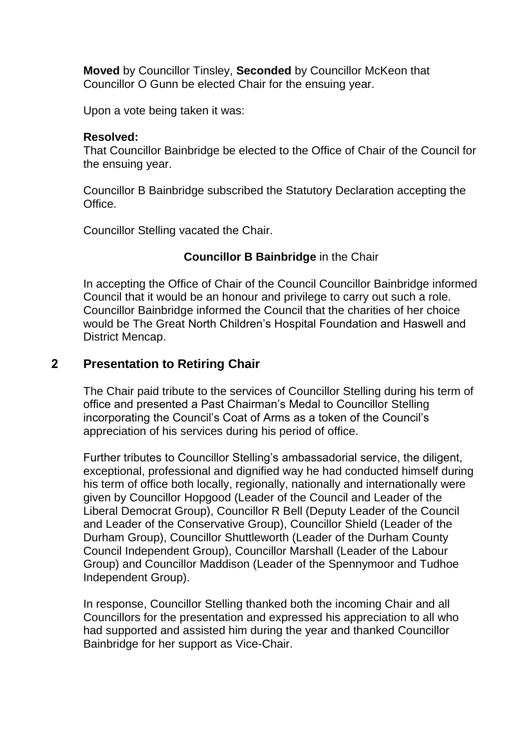**Moved** by Councillor Tinsley, **Seconded** by Councillor McKeon that Councillor O Gunn be elected Chair for the ensuing year.

Upon a vote being taken it was:

#### **Resolved:**

That Councillor Bainbridge be elected to the Office of Chair of the Council for the ensuing year.

Councillor B Bainbridge subscribed the Statutory Declaration accepting the Office.

Councillor Stelling vacated the Chair.

## **Councillor B Bainbridge** in the Chair

In accepting the Office of Chair of the Council Councillor Bainbridge informed Council that it would be an honour and privilege to carry out such a role. Councillor Bainbridge informed the Council that the charities of her choice would be The Great North Children's Hospital Foundation and Haswell and District Mencap.

## **2 Presentation to Retiring Chair**

The Chair paid tribute to the services of Councillor Stelling during his term of office and presented a Past Chairman's Medal to Councillor Stelling incorporating the Council's Coat of Arms as a token of the Council's appreciation of his services during his period of office.

Further tributes to Councillor Stelling's ambassadorial service, the diligent, exceptional, professional and dignified way he had conducted himself during his term of office both locally, regionally, nationally and internationally were given by Councillor Hopgood (Leader of the Council and Leader of the Liberal Democrat Group), Councillor R Bell (Deputy Leader of the Council and Leader of the Conservative Group), Councillor Shield (Leader of the Durham Group), Councillor Shuttleworth (Leader of the Durham County Council Independent Group), Councillor Marshall (Leader of the Labour Group) and Councillor Maddison (Leader of the Spennymoor and Tudhoe Independent Group).

In response, Councillor Stelling thanked both the incoming Chair and all Councillors for the presentation and expressed his appreciation to all who had supported and assisted him during the year and thanked Councillor Bainbridge for her support as Vice-Chair.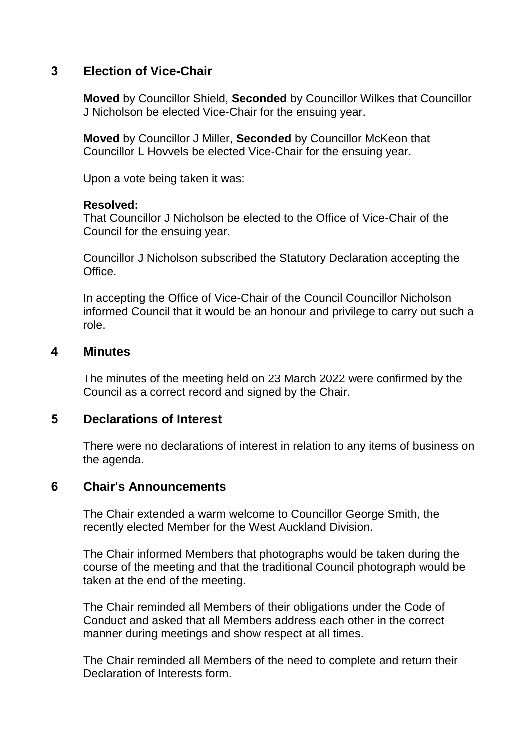## **3 Election of Vice-Chair**

**Moved** by Councillor Shield, **Seconded** by Councillor Wilkes that Councillor J Nicholson be elected Vice-Chair for the ensuing year.

**Moved** by Councillor J Miller, **Seconded** by Councillor McKeon that Councillor L Hovvels be elected Vice-Chair for the ensuing year.

Upon a vote being taken it was:

#### **Resolved:**

That Councillor J Nicholson be elected to the Office of Vice-Chair of the Council for the ensuing year.

Councillor J Nicholson subscribed the Statutory Declaration accepting the Office.

In accepting the Office of Vice-Chair of the Council Councillor Nicholson informed Council that it would be an honour and privilege to carry out such a role.

## **4 Minutes**

The minutes of the meeting held on 23 March 2022 were confirmed by the Council as a correct record and signed by the Chair.

## **5 Declarations of Interest**

There were no declarations of interest in relation to any items of business on the agenda.

### **6 Chair's Announcements**

The Chair extended a warm welcome to Councillor George Smith, the recently elected Member for the West Auckland Division.

The Chair informed Members that photographs would be taken during the course of the meeting and that the traditional Council photograph would be taken at the end of the meeting.

The Chair reminded all Members of their obligations under the Code of Conduct and asked that all Members address each other in the correct manner during meetings and show respect at all times.

The Chair reminded all Members of the need to complete and return their Declaration of Interests form.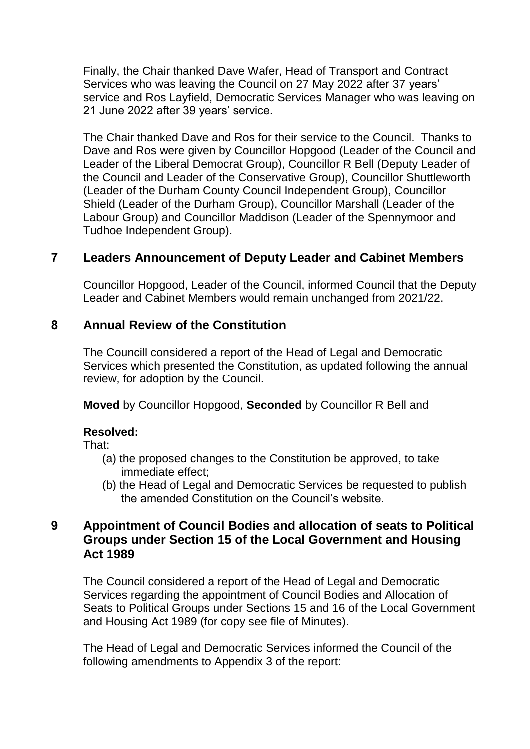Finally, the Chair thanked Dave Wafer, Head of Transport and Contract Services who was leaving the Council on 27 May 2022 after 37 years' service and Ros Layfield, Democratic Services Manager who was leaving on 21 June 2022 after 39 years' service.

The Chair thanked Dave and Ros for their service to the Council. Thanks to Dave and Ros were given by Councillor Hopgood (Leader of the Council and Leader of the Liberal Democrat Group), Councillor R Bell (Deputy Leader of the Council and Leader of the Conservative Group), Councillor Shuttleworth (Leader of the Durham County Council Independent Group), Councillor Shield (Leader of the Durham Group), Councillor Marshall (Leader of the Labour Group) and Councillor Maddison (Leader of the Spennymoor and Tudhoe Independent Group).

# **7 Leaders Announcement of Deputy Leader and Cabinet Members**

Councillor Hopgood, Leader of the Council, informed Council that the Deputy Leader and Cabinet Members would remain unchanged from 2021/22.

# **8 Annual Review of the Constitution**

The Councill considered a report of the Head of Legal and Democratic Services which presented the Constitution, as updated following the annual review, for adoption by the Council.

**Moved** by Councillor Hopgood, **Seconded** by Councillor R Bell and

## **Resolved:**

That:

- (a) the proposed changes to the Constitution be approved, to take immediate effect;
- (b) the Head of Legal and Democratic Services be requested to publish the amended Constitution on the Council's website.

# **9 Appointment of Council Bodies and allocation of seats to Political Groups under Section 15 of the Local Government and Housing Act 1989**

The Council considered a report of the Head of Legal and Democratic Services regarding the appointment of Council Bodies and Allocation of Seats to Political Groups under Sections 15 and 16 of the Local Government and Housing Act 1989 (for copy see file of Minutes).

The Head of Legal and Democratic Services informed the Council of the following amendments to Appendix 3 of the report: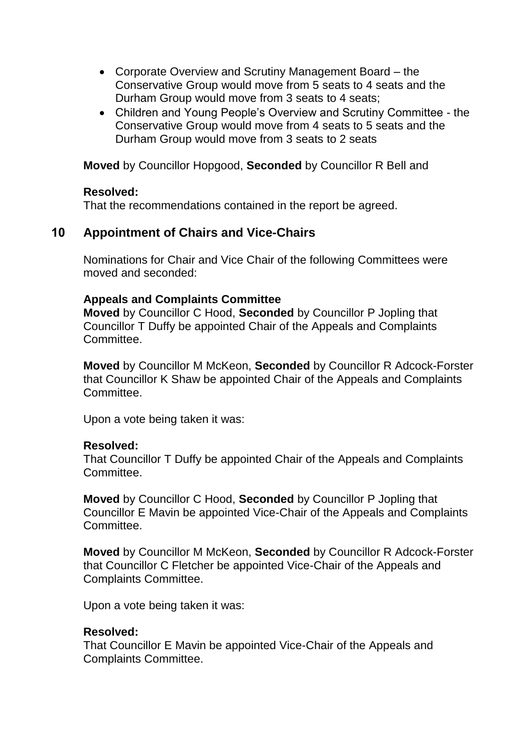- Corporate Overview and Scrutiny Management Board the Conservative Group would move from 5 seats to 4 seats and the Durham Group would move from 3 seats to 4 seats;
- Children and Young People's Overview and Scrutiny Committee the Conservative Group would move from 4 seats to 5 seats and the Durham Group would move from 3 seats to 2 seats

**Moved** by Councillor Hopgood, **Seconded** by Councillor R Bell and

### **Resolved:**

That the recommendations contained in the report be agreed.

# **10 Appointment of Chairs and Vice-Chairs**

Nominations for Chair and Vice Chair of the following Committees were moved and seconded:

## **Appeals and Complaints Committee**

**Moved** by Councillor C Hood, **Seconded** by Councillor P Jopling that Councillor T Duffy be appointed Chair of the Appeals and Complaints Committee.

**Moved** by Councillor M McKeon, **Seconded** by Councillor R Adcock-Forster that Councillor K Shaw be appointed Chair of the Appeals and Complaints Committee.

Upon a vote being taken it was:

### **Resolved:**

That Councillor T Duffy be appointed Chair of the Appeals and Complaints Committee.

**Moved** by Councillor C Hood, **Seconded** by Councillor P Jopling that Councillor E Mavin be appointed Vice-Chair of the Appeals and Complaints Committee.

**Moved** by Councillor M McKeon, **Seconded** by Councillor R Adcock-Forster that Councillor C Fletcher be appointed Vice-Chair of the Appeals and Complaints Committee.

Upon a vote being taken it was:

### **Resolved:**

That Councillor E Mavin be appointed Vice-Chair of the Appeals and Complaints Committee.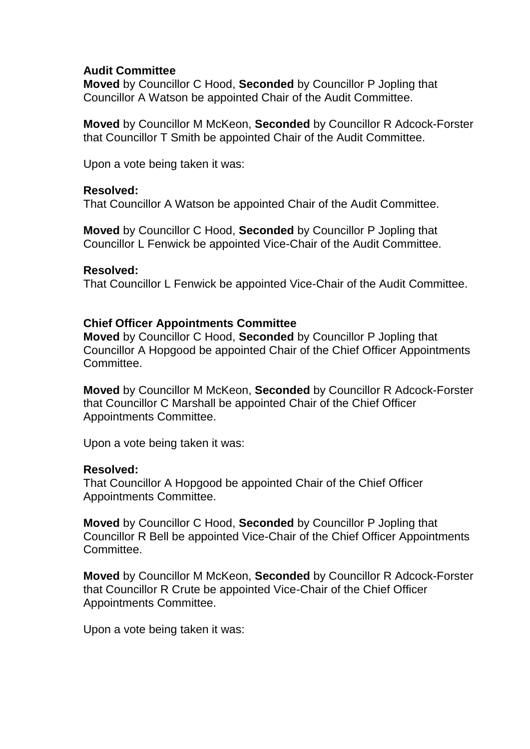### **Audit Committee**

**Moved** by Councillor C Hood, **Seconded** by Councillor P Jopling that Councillor A Watson be appointed Chair of the Audit Committee.

**Moved** by Councillor M McKeon, **Seconded** by Councillor R Adcock-Forster that Councillor T Smith be appointed Chair of the Audit Committee.

Upon a vote being taken it was:

### **Resolved:**

That Councillor A Watson be appointed Chair of the Audit Committee.

**Moved** by Councillor C Hood, **Seconded** by Councillor P Jopling that Councillor L Fenwick be appointed Vice-Chair of the Audit Committee.

#### **Resolved:**

That Councillor L Fenwick be appointed Vice-Chair of the Audit Committee.

## **Chief Officer Appointments Committee**

**Moved** by Councillor C Hood, **Seconded** by Councillor P Jopling that Councillor A Hopgood be appointed Chair of the Chief Officer Appointments Committee.

**Moved** by Councillor M McKeon, **Seconded** by Councillor R Adcock-Forster that Councillor C Marshall be appointed Chair of the Chief Officer Appointments Committee.

Upon a vote being taken it was:

### **Resolved:**

That Councillor A Hopgood be appointed Chair of the Chief Officer Appointments Committee.

**Moved** by Councillor C Hood, **Seconded** by Councillor P Jopling that Councillor R Bell be appointed Vice-Chair of the Chief Officer Appointments Committee.

**Moved** by Councillor M McKeon, **Seconded** by Councillor R Adcock-Forster that Councillor R Crute be appointed Vice-Chair of the Chief Officer Appointments Committee.

Upon a vote being taken it was: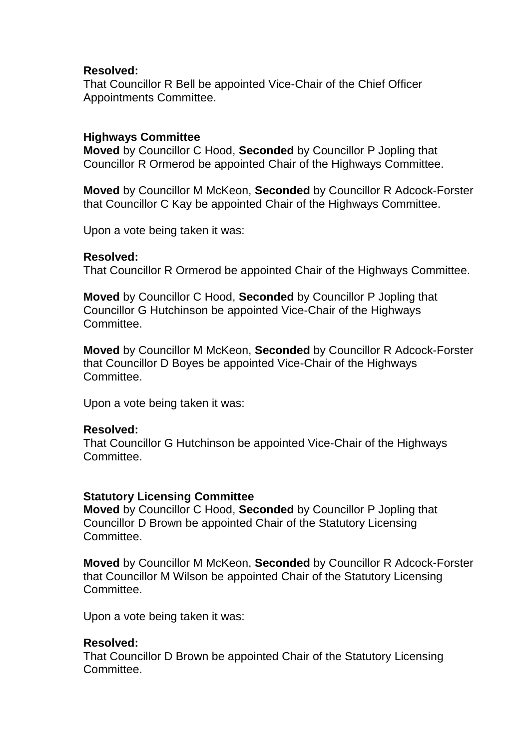### **Resolved:**

That Councillor R Bell be appointed Vice-Chair of the Chief Officer Appointments Committee.

## **Highways Committee**

**Moved** by Councillor C Hood, **Seconded** by Councillor P Jopling that Councillor R Ormerod be appointed Chair of the Highways Committee.

**Moved** by Councillor M McKeon, **Seconded** by Councillor R Adcock-Forster that Councillor C Kay be appointed Chair of the Highways Committee.

Upon a vote being taken it was:

### **Resolved:**

That Councillor R Ormerod be appointed Chair of the Highways Committee.

**Moved** by Councillor C Hood, **Seconded** by Councillor P Jopling that Councillor G Hutchinson be appointed Vice-Chair of the Highways Committee.

**Moved** by Councillor M McKeon, **Seconded** by Councillor R Adcock-Forster that Councillor D Boyes be appointed Vice-Chair of the Highways Committee.

Upon a vote being taken it was:

### **Resolved:**

That Councillor G Hutchinson be appointed Vice-Chair of the Highways Committee.

### **Statutory Licensing Committee**

**Moved** by Councillor C Hood, **Seconded** by Councillor P Jopling that Councillor D Brown be appointed Chair of the Statutory Licensing Committee.

**Moved** by Councillor M McKeon, **Seconded** by Councillor R Adcock-Forster that Councillor M Wilson be appointed Chair of the Statutory Licensing Committee.

Upon a vote being taken it was:

### **Resolved:**

That Councillor D Brown be appointed Chair of the Statutory Licensing **Committee**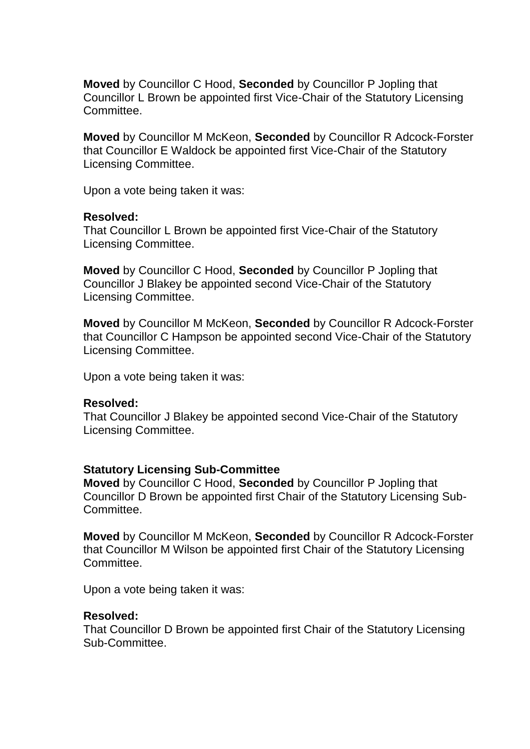**Moved** by Councillor C Hood, **Seconded** by Councillor P Jopling that Councillor L Brown be appointed first Vice-Chair of the Statutory Licensing Committee.

**Moved** by Councillor M McKeon, **Seconded** by Councillor R Adcock-Forster that Councillor E Waldock be appointed first Vice-Chair of the Statutory Licensing Committee.

Upon a vote being taken it was:

#### **Resolved:**

That Councillor L Brown be appointed first Vice-Chair of the Statutory Licensing Committee.

**Moved** by Councillor C Hood, **Seconded** by Councillor P Jopling that Councillor J Blakey be appointed second Vice-Chair of the Statutory Licensing Committee.

**Moved** by Councillor M McKeon, **Seconded** by Councillor R Adcock-Forster that Councillor C Hampson be appointed second Vice-Chair of the Statutory Licensing Committee.

Upon a vote being taken it was:

### **Resolved:**

That Councillor J Blakey be appointed second Vice-Chair of the Statutory Licensing Committee.

### **Statutory Licensing Sub-Committee**

**Moved** by Councillor C Hood, **Seconded** by Councillor P Jopling that Councillor D Brown be appointed first Chair of the Statutory Licensing Sub-**Committee** 

**Moved** by Councillor M McKeon, **Seconded** by Councillor R Adcock-Forster that Councillor M Wilson be appointed first Chair of the Statutory Licensing Committee.

Upon a vote being taken it was:

### **Resolved:**

That Councillor D Brown be appointed first Chair of the Statutory Licensing Sub-Committee.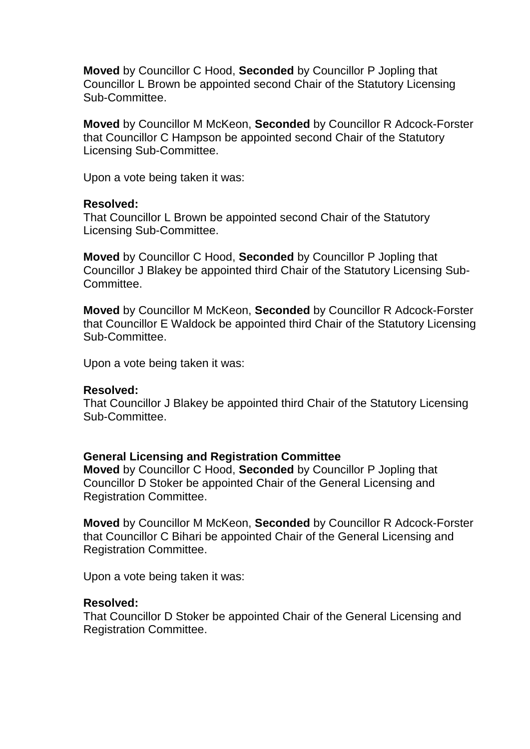**Moved** by Councillor C Hood, **Seconded** by Councillor P Jopling that Councillor L Brown be appointed second Chair of the Statutory Licensing Sub-Committee.

**Moved** by Councillor M McKeon, **Seconded** by Councillor R Adcock-Forster that Councillor C Hampson be appointed second Chair of the Statutory Licensing Sub-Committee.

Upon a vote being taken it was:

#### **Resolved:**

That Councillor L Brown be appointed second Chair of the Statutory Licensing Sub-Committee.

**Moved** by Councillor C Hood, **Seconded** by Councillor P Jopling that Councillor J Blakey be appointed third Chair of the Statutory Licensing Sub-**Committee.** 

**Moved** by Councillor M McKeon, **Seconded** by Councillor R Adcock-Forster that Councillor E Waldock be appointed third Chair of the Statutory Licensing Sub-Committee.

Upon a vote being taken it was:

#### **Resolved:**

That Councillor J Blakey be appointed third Chair of the Statutory Licensing Sub-Committee.

#### **General Licensing and Registration Committee**

**Moved** by Councillor C Hood, **Seconded** by Councillor P Jopling that Councillor D Stoker be appointed Chair of the General Licensing and Registration Committee.

**Moved** by Councillor M McKeon, **Seconded** by Councillor R Adcock-Forster that Councillor C Bihari be appointed Chair of the General Licensing and Registration Committee.

Upon a vote being taken it was:

#### **Resolved:**

That Councillor D Stoker be appointed Chair of the General Licensing and Registration Committee.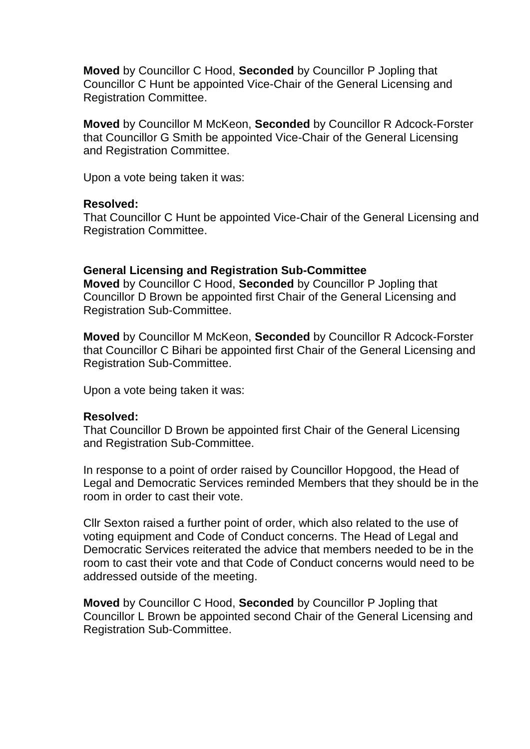**Moved** by Councillor C Hood, **Seconded** by Councillor P Jopling that Councillor C Hunt be appointed Vice-Chair of the General Licensing and Registration Committee.

**Moved** by Councillor M McKeon, **Seconded** by Councillor R Adcock-Forster that Councillor G Smith be appointed Vice-Chair of the General Licensing and Registration Committee.

Upon a vote being taken it was:

#### **Resolved:**

That Councillor C Hunt be appointed Vice-Chair of the General Licensing and Registration Committee.

#### **General Licensing and Registration Sub-Committee**

**Moved** by Councillor C Hood, **Seconded** by Councillor P Jopling that Councillor D Brown be appointed first Chair of the General Licensing and Registration Sub-Committee.

**Moved** by Councillor M McKeon, **Seconded** by Councillor R Adcock-Forster that Councillor C Bihari be appointed first Chair of the General Licensing and Registration Sub-Committee.

Upon a vote being taken it was:

### **Resolved:**

That Councillor D Brown be appointed first Chair of the General Licensing and Registration Sub-Committee.

In response to a point of order raised by Councillor Hopgood, the Head of Legal and Democratic Services reminded Members that they should be in the room in order to cast their vote.

Cllr Sexton raised a further point of order, which also related to the use of voting equipment and Code of Conduct concerns. The Head of Legal and Democratic Services reiterated the advice that members needed to be in the room to cast their vote and that Code of Conduct concerns would need to be addressed outside of the meeting.

**Moved** by Councillor C Hood, **Seconded** by Councillor P Jopling that Councillor L Brown be appointed second Chair of the General Licensing and Registration Sub-Committee.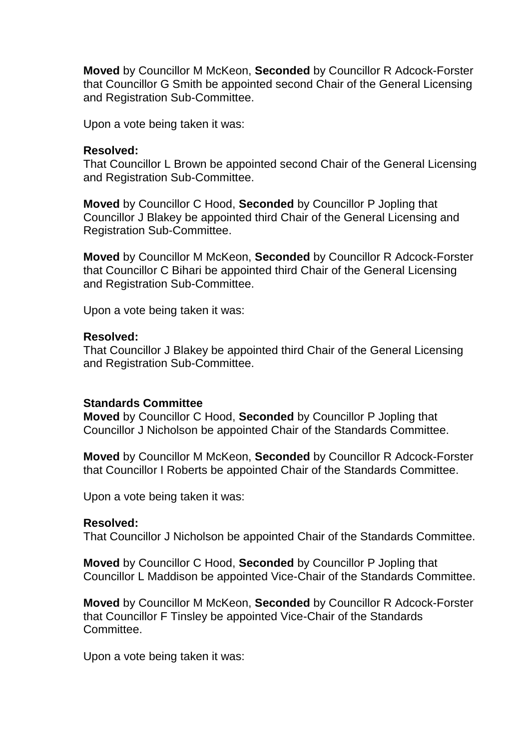**Moved** by Councillor M McKeon, **Seconded** by Councillor R Adcock-Forster that Councillor G Smith be appointed second Chair of the General Licensing and Registration Sub-Committee.

Upon a vote being taken it was:

#### **Resolved:**

That Councillor L Brown be appointed second Chair of the General Licensing and Registration Sub-Committee.

**Moved** by Councillor C Hood, **Seconded** by Councillor P Jopling that Councillor J Blakey be appointed third Chair of the General Licensing and Registration Sub-Committee.

**Moved** by Councillor M McKeon, **Seconded** by Councillor R Adcock-Forster that Councillor C Bihari be appointed third Chair of the General Licensing and Registration Sub-Committee.

Upon a vote being taken it was:

#### **Resolved:**

That Councillor J Blakey be appointed third Chair of the General Licensing and Registration Sub-Committee.

### **Standards Committee**

**Moved** by Councillor C Hood, **Seconded** by Councillor P Jopling that Councillor J Nicholson be appointed Chair of the Standards Committee.

**Moved** by Councillor M McKeon, **Seconded** by Councillor R Adcock-Forster that Councillor I Roberts be appointed Chair of the Standards Committee.

Upon a vote being taken it was:

#### **Resolved:**

That Councillor J Nicholson be appointed Chair of the Standards Committee.

**Moved** by Councillor C Hood, **Seconded** by Councillor P Jopling that Councillor L Maddison be appointed Vice-Chair of the Standards Committee.

**Moved** by Councillor M McKeon, **Seconded** by Councillor R Adcock-Forster that Councillor F Tinsley be appointed Vice-Chair of the Standards Committee.

Upon a vote being taken it was: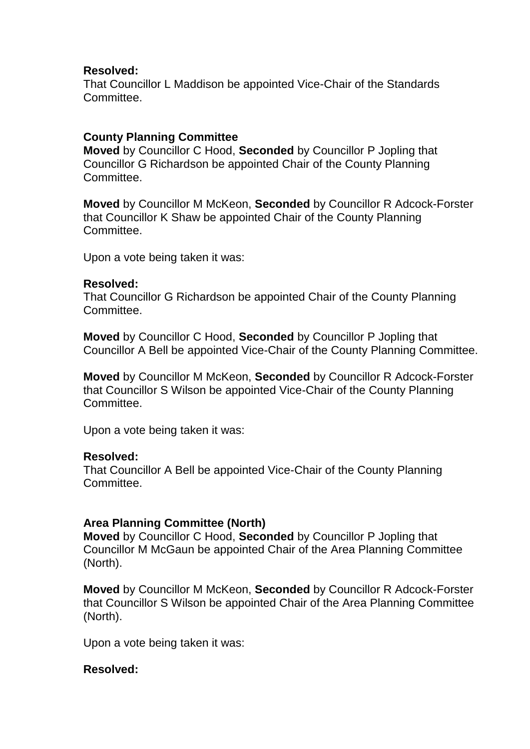### **Resolved:**

That Councillor L Maddison be appointed Vice-Chair of the Standards Committee.

### **County Planning Committee**

**Moved** by Councillor C Hood, **Seconded** by Councillor P Jopling that Councillor G Richardson be appointed Chair of the County Planning Committee.

**Moved** by Councillor M McKeon, **Seconded** by Councillor R Adcock-Forster that Councillor K Shaw be appointed Chair of the County Planning Committee.

Upon a vote being taken it was:

#### **Resolved:**

That Councillor G Richardson be appointed Chair of the County Planning **Committee** 

**Moved** by Councillor C Hood, **Seconded** by Councillor P Jopling that Councillor A Bell be appointed Vice-Chair of the County Planning Committee.

**Moved** by Councillor M McKeon, **Seconded** by Councillor R Adcock-Forster that Councillor S Wilson be appointed Vice-Chair of the County Planning Committee.

Upon a vote being taken it was:

### **Resolved:**

That Councillor A Bell be appointed Vice-Chair of the County Planning **Committee.** 

### **Area Planning Committee (North)**

**Moved** by Councillor C Hood, **Seconded** by Councillor P Jopling that Councillor M McGaun be appointed Chair of the Area Planning Committee (North).

**Moved** by Councillor M McKeon, **Seconded** by Councillor R Adcock-Forster that Councillor S Wilson be appointed Chair of the Area Planning Committee (North).

Upon a vote being taken it was:

### **Resolved:**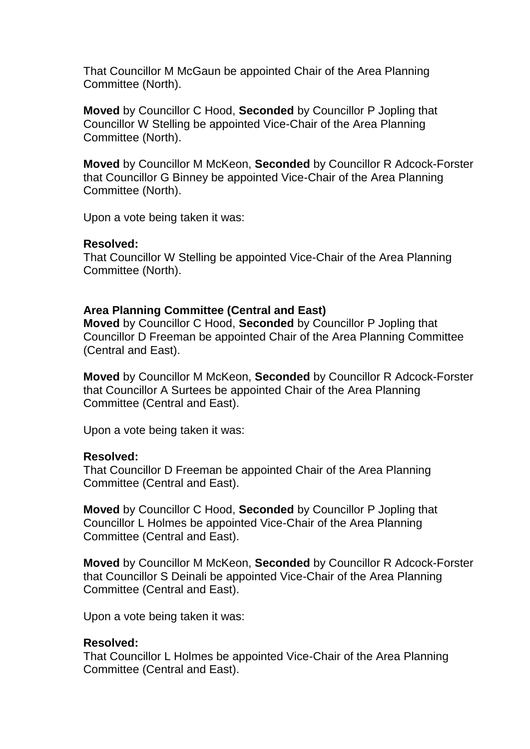That Councillor M McGaun be appointed Chair of the Area Planning Committee (North).

**Moved** by Councillor C Hood, **Seconded** by Councillor P Jopling that Councillor W Stelling be appointed Vice-Chair of the Area Planning Committee (North).

**Moved** by Councillor M McKeon, **Seconded** by Councillor R Adcock-Forster that Councillor G Binney be appointed Vice-Chair of the Area Planning Committee (North).

Upon a vote being taken it was:

### **Resolved:**

That Councillor W Stelling be appointed Vice-Chair of the Area Planning Committee (North).

### **Area Planning Committee (Central and East)**

**Moved** by Councillor C Hood, **Seconded** by Councillor P Jopling that Councillor D Freeman be appointed Chair of the Area Planning Committee (Central and East).

**Moved** by Councillor M McKeon, **Seconded** by Councillor R Adcock-Forster that Councillor A Surtees be appointed Chair of the Area Planning Committee (Central and East).

Upon a vote being taken it was:

### **Resolved:**

That Councillor D Freeman be appointed Chair of the Area Planning Committee (Central and East).

**Moved** by Councillor C Hood, **Seconded** by Councillor P Jopling that Councillor L Holmes be appointed Vice-Chair of the Area Planning Committee (Central and East).

**Moved** by Councillor M McKeon, **Seconded** by Councillor R Adcock-Forster that Councillor S Deinali be appointed Vice-Chair of the Area Planning Committee (Central and East).

Upon a vote being taken it was:

## **Resolved:**

That Councillor L Holmes be appointed Vice-Chair of the Area Planning Committee (Central and East).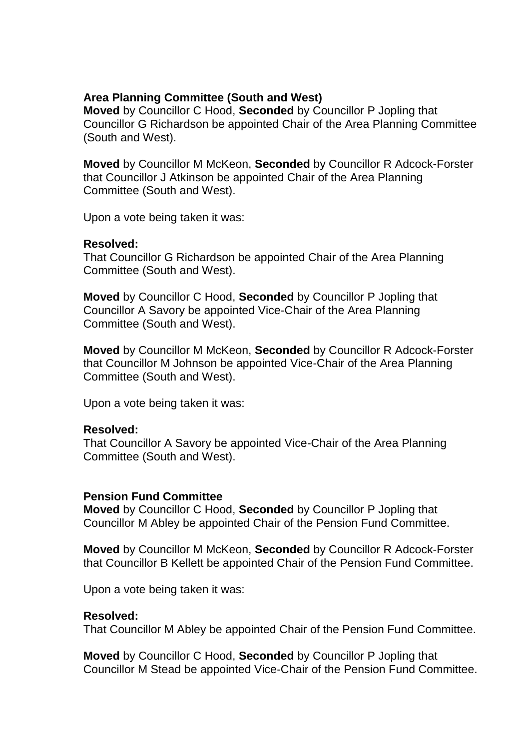### **Area Planning Committee (South and West)**

**Moved** by Councillor C Hood, **Seconded** by Councillor P Jopling that Councillor G Richardson be appointed Chair of the Area Planning Committee (South and West).

**Moved** by Councillor M McKeon, **Seconded** by Councillor R Adcock-Forster that Councillor J Atkinson be appointed Chair of the Area Planning Committee (South and West).

Upon a vote being taken it was:

### **Resolved:**

That Councillor G Richardson be appointed Chair of the Area Planning Committee (South and West).

**Moved** by Councillor C Hood, **Seconded** by Councillor P Jopling that Councillor A Savory be appointed Vice-Chair of the Area Planning Committee (South and West).

**Moved** by Councillor M McKeon, **Seconded** by Councillor R Adcock-Forster that Councillor M Johnson be appointed Vice-Chair of the Area Planning Committee (South and West).

Upon a vote being taken it was:

### **Resolved:**

That Councillor A Savory be appointed Vice-Chair of the Area Planning Committee (South and West).

### **Pension Fund Committee**

**Moved** by Councillor C Hood, **Seconded** by Councillor P Jopling that Councillor M Abley be appointed Chair of the Pension Fund Committee.

**Moved** by Councillor M McKeon, **Seconded** by Councillor R Adcock-Forster that Councillor B Kellett be appointed Chair of the Pension Fund Committee.

Upon a vote being taken it was:

### **Resolved:**

That Councillor M Abley be appointed Chair of the Pension Fund Committee.

**Moved** by Councillor C Hood, **Seconded** by Councillor P Jopling that Councillor M Stead be appointed Vice-Chair of the Pension Fund Committee.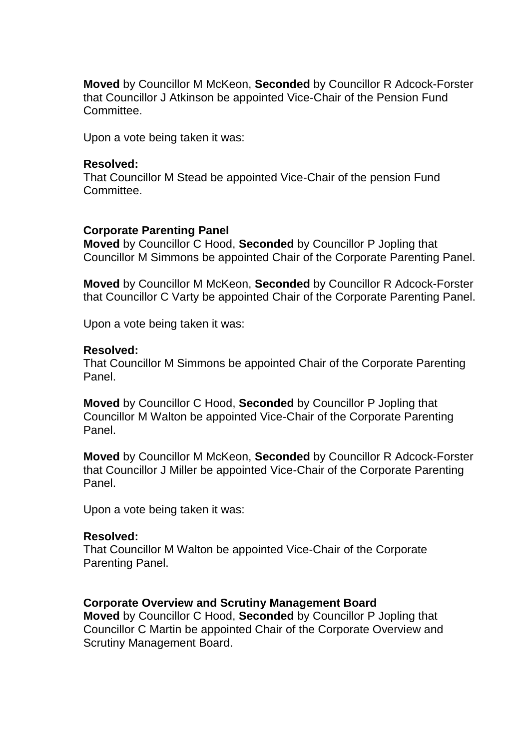**Moved** by Councillor M McKeon, **Seconded** by Councillor R Adcock-Forster that Councillor J Atkinson be appointed Vice-Chair of the Pension Fund Committee.

Upon a vote being taken it was:

#### **Resolved:**

That Councillor M Stead be appointed Vice-Chair of the pension Fund Committee.

### **Corporate Parenting Panel**

**Moved** by Councillor C Hood, **Seconded** by Councillor P Jopling that Councillor M Simmons be appointed Chair of the Corporate Parenting Panel.

**Moved** by Councillor M McKeon, **Seconded** by Councillor R Adcock-Forster that Councillor C Varty be appointed Chair of the Corporate Parenting Panel.

Upon a vote being taken it was:

#### **Resolved:**

That Councillor M Simmons be appointed Chair of the Corporate Parenting Panel.

**Moved** by Councillor C Hood, **Seconded** by Councillor P Jopling that Councillor M Walton be appointed Vice-Chair of the Corporate Parenting Panel.

**Moved** by Councillor M McKeon, **Seconded** by Councillor R Adcock-Forster that Councillor J Miller be appointed Vice-Chair of the Corporate Parenting Panel.

Upon a vote being taken it was:

#### **Resolved:**

That Councillor M Walton be appointed Vice-Chair of the Corporate Parenting Panel.

### **Corporate Overview and Scrutiny Management Board**

**Moved** by Councillor C Hood, **Seconded** by Councillor P Jopling that Councillor C Martin be appointed Chair of the Corporate Overview and Scrutiny Management Board.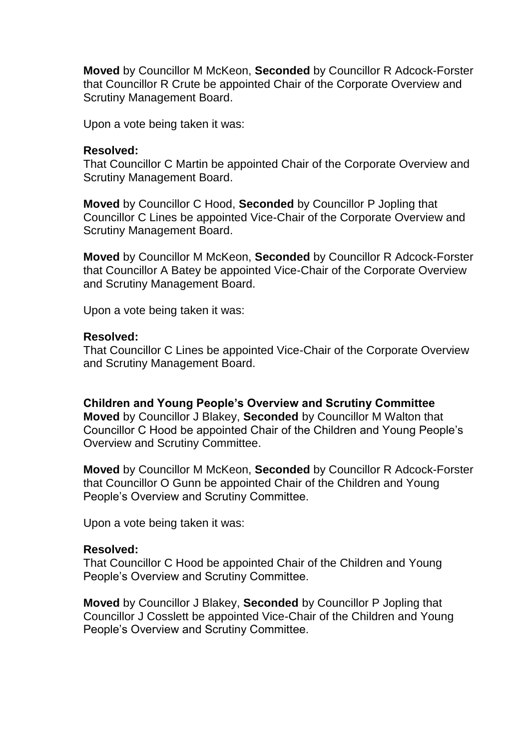**Moved** by Councillor M McKeon, **Seconded** by Councillor R Adcock-Forster that Councillor R Crute be appointed Chair of the Corporate Overview and Scrutiny Management Board.

Upon a vote being taken it was:

#### **Resolved:**

That Councillor C Martin be appointed Chair of the Corporate Overview and Scrutiny Management Board.

**Moved** by Councillor C Hood, **Seconded** by Councillor P Jopling that Councillor C Lines be appointed Vice-Chair of the Corporate Overview and Scrutiny Management Board.

**Moved** by Councillor M McKeon, **Seconded** by Councillor R Adcock-Forster that Councillor A Batey be appointed Vice-Chair of the Corporate Overview and Scrutiny Management Board.

Upon a vote being taken it was:

#### **Resolved:**

That Councillor C Lines be appointed Vice-Chair of the Corporate Overview and Scrutiny Management Board.

#### **Children and Young People's Overview and Scrutiny Committee**

**Moved** by Councillor J Blakey, **Seconded** by Councillor M Walton that Councillor C Hood be appointed Chair of the Children and Young People's Overview and Scrutiny Committee.

**Moved** by Councillor M McKeon, **Seconded** by Councillor R Adcock-Forster that Councillor O Gunn be appointed Chair of the Children and Young People's Overview and Scrutiny Committee.

Upon a vote being taken it was:

#### **Resolved:**

That Councillor C Hood be appointed Chair of the Children and Young People's Overview and Scrutiny Committee.

**Moved** by Councillor J Blakey, **Seconded** by Councillor P Jopling that Councillor J Cosslett be appointed Vice-Chair of the Children and Young People's Overview and Scrutiny Committee.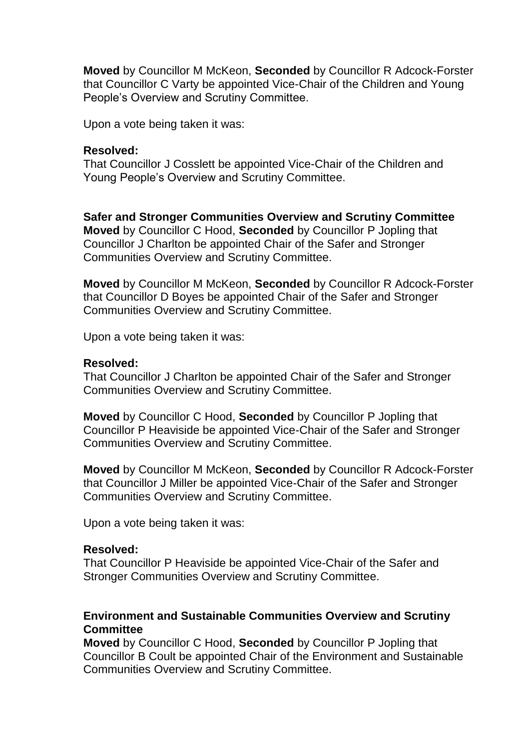**Moved** by Councillor M McKeon, **Seconded** by Councillor R Adcock-Forster that Councillor C Varty be appointed Vice-Chair of the Children and Young People's Overview and Scrutiny Committee.

Upon a vote being taken it was:

#### **Resolved:**

That Councillor J Cosslett be appointed Vice-Chair of the Children and Young People's Overview and Scrutiny Committee.

**Safer and Stronger Communities Overview and Scrutiny Committee Moved** by Councillor C Hood, **Seconded** by Councillor P Jopling that Councillor J Charlton be appointed Chair of the Safer and Stronger Communities Overview and Scrutiny Committee.

**Moved** by Councillor M McKeon, **Seconded** by Councillor R Adcock-Forster that Councillor D Boyes be appointed Chair of the Safer and Stronger Communities Overview and Scrutiny Committee.

Upon a vote being taken it was:

#### **Resolved:**

That Councillor J Charlton be appointed Chair of the Safer and Stronger Communities Overview and Scrutiny Committee.

**Moved** by Councillor C Hood, **Seconded** by Councillor P Jopling that Councillor P Heaviside be appointed Vice-Chair of the Safer and Stronger Communities Overview and Scrutiny Committee.

**Moved** by Councillor M McKeon, **Seconded** by Councillor R Adcock-Forster that Councillor J Miller be appointed Vice-Chair of the Safer and Stronger Communities Overview and Scrutiny Committee.

Upon a vote being taken it was:

### **Resolved:**

That Councillor P Heaviside be appointed Vice-Chair of the Safer and Stronger Communities Overview and Scrutiny Committee.

## **Environment and Sustainable Communities Overview and Scrutiny Committee**

**Moved** by Councillor C Hood, **Seconded** by Councillor P Jopling that Councillor B Coult be appointed Chair of the Environment and Sustainable Communities Overview and Scrutiny Committee.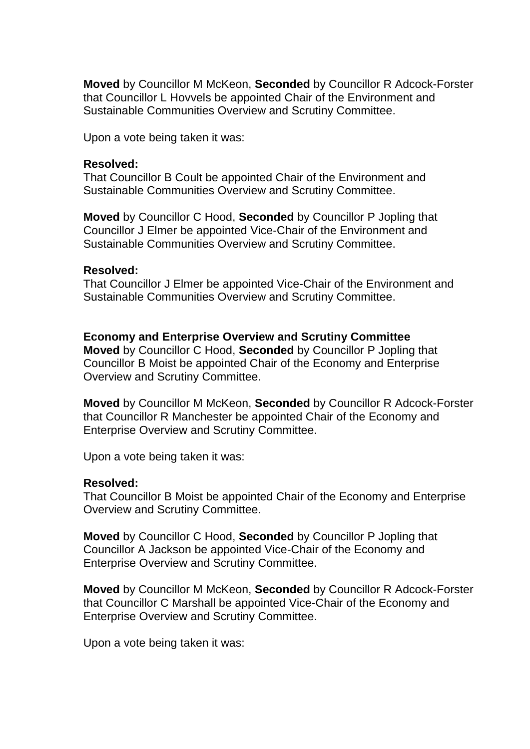**Moved** by Councillor M McKeon, **Seconded** by Councillor R Adcock-Forster that Councillor L Hovvels be appointed Chair of the Environment and Sustainable Communities Overview and Scrutiny Committee.

Upon a vote being taken it was:

#### **Resolved:**

That Councillor B Coult be appointed Chair of the Environment and Sustainable Communities Overview and Scrutiny Committee.

**Moved** by Councillor C Hood, **Seconded** by Councillor P Jopling that Councillor J Elmer be appointed Vice-Chair of the Environment and Sustainable Communities Overview and Scrutiny Committee.

#### **Resolved:**

That Councillor J Elmer be appointed Vice-Chair of the Environment and Sustainable Communities Overview and Scrutiny Committee.

### **Economy and Enterprise Overview and Scrutiny Committee**

**Moved** by Councillor C Hood, **Seconded** by Councillor P Jopling that Councillor B Moist be appointed Chair of the Economy and Enterprise Overview and Scrutiny Committee.

**Moved** by Councillor M McKeon, **Seconded** by Councillor R Adcock-Forster that Councillor R Manchester be appointed Chair of the Economy and Enterprise Overview and Scrutiny Committee.

Upon a vote being taken it was:

### **Resolved:**

That Councillor B Moist be appointed Chair of the Economy and Enterprise Overview and Scrutiny Committee.

**Moved** by Councillor C Hood, **Seconded** by Councillor P Jopling that Councillor A Jackson be appointed Vice-Chair of the Economy and Enterprise Overview and Scrutiny Committee.

**Moved** by Councillor M McKeon, **Seconded** by Councillor R Adcock-Forster that Councillor C Marshall be appointed Vice-Chair of the Economy and Enterprise Overview and Scrutiny Committee.

Upon a vote being taken it was: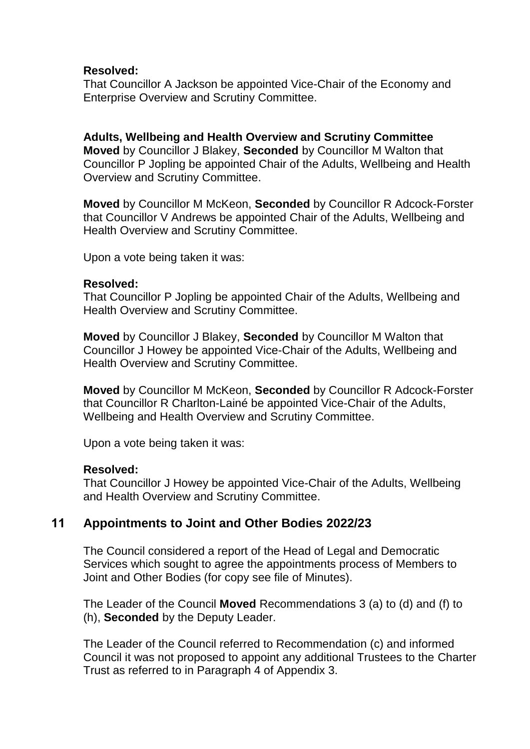### **Resolved:**

That Councillor A Jackson be appointed Vice-Chair of the Economy and Enterprise Overview and Scrutiny Committee.

**Adults, Wellbeing and Health Overview and Scrutiny Committee Moved** by Councillor J Blakey, **Seconded** by Councillor M Walton that Councillor P Jopling be appointed Chair of the Adults, Wellbeing and Health Overview and Scrutiny Committee.

**Moved** by Councillor M McKeon, **Seconded** by Councillor R Adcock-Forster that Councillor V Andrews be appointed Chair of the Adults, Wellbeing and Health Overview and Scrutiny Committee.

Upon a vote being taken it was:

#### **Resolved:**

That Councillor P Jopling be appointed Chair of the Adults, Wellbeing and Health Overview and Scrutiny Committee.

**Moved** by Councillor J Blakey, **Seconded** by Councillor M Walton that Councillor J Howey be appointed Vice-Chair of the Adults, Wellbeing and Health Overview and Scrutiny Committee.

**Moved** by Councillor M McKeon, **Seconded** by Councillor R Adcock-Forster that Councillor R Charlton-Lainé be appointed Vice-Chair of the Adults, Wellbeing and Health Overview and Scrutiny Committee.

Upon a vote being taken it was:

### **Resolved:**

That Councillor J Howey be appointed Vice-Chair of the Adults, Wellbeing and Health Overview and Scrutiny Committee.

# **11 Appointments to Joint and Other Bodies 2022/23**

The Council considered a report of the Head of Legal and Democratic Services which sought to agree the appointments process of Members to Joint and Other Bodies (for copy see file of Minutes).

The Leader of the Council **Moved** Recommendations 3 (a) to (d) and (f) to (h), **Seconded** by the Deputy Leader.

The Leader of the Council referred to Recommendation (c) and informed Council it was not proposed to appoint any additional Trustees to the Charter Trust as referred to in Paragraph 4 of Appendix 3.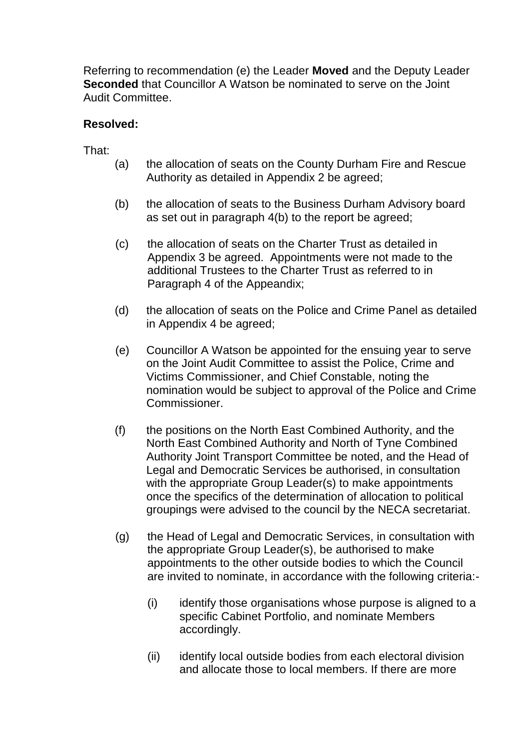Referring to recommendation (e) the Leader **Moved** and the Deputy Leader **Seconded** that Councillor A Watson be nominated to serve on the Joint Audit Committee.

# **Resolved:**

That:

- (a) the allocation of seats on the County Durham Fire and Rescue Authority as detailed in Appendix 2 be agreed;
- (b) the allocation of seats to the Business Durham Advisory board as set out in paragraph 4(b) to the report be agreed;
- (c) the allocation of seats on the Charter Trust as detailed in Appendix 3 be agreed. Appointments were not made to the additional Trustees to the Charter Trust as referred to in Paragraph 4 of the Appeandix;
- (d) the allocation of seats on the Police and Crime Panel as detailed in Appendix 4 be agreed;
- (e) Councillor A Watson be appointed for the ensuing year to serve on the Joint Audit Committee to assist the Police, Crime and Victims Commissioner, and Chief Constable, noting the nomination would be subject to approval of the Police and Crime Commissioner.
- (f) the positions on the North East Combined Authority, and the North East Combined Authority and North of Tyne Combined Authority Joint Transport Committee be noted, and the Head of Legal and Democratic Services be authorised, in consultation with the appropriate Group Leader(s) to make appointments once the specifics of the determination of allocation to political groupings were advised to the council by the NECA secretariat.
- (g) the Head of Legal and Democratic Services, in consultation with the appropriate Group Leader(s), be authorised to make appointments to the other outside bodies to which the Council are invited to nominate, in accordance with the following criteria:-
	- (i) identify those organisations whose purpose is aligned to a specific Cabinet Portfolio, and nominate Members accordingly.
	- (ii) identify local outside bodies from each electoral division and allocate those to local members. If there are more